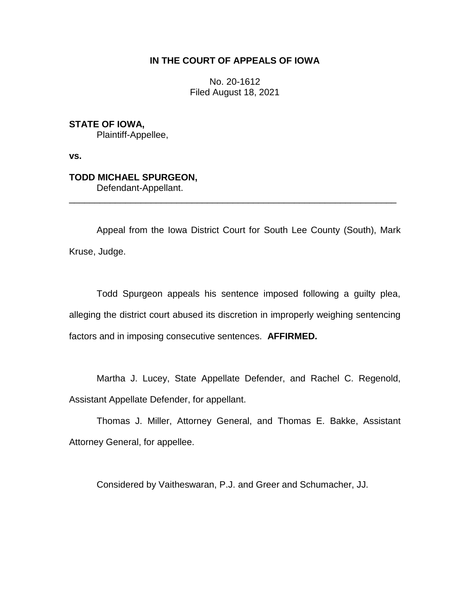## **IN THE COURT OF APPEALS OF IOWA**

No. 20-1612 Filed August 18, 2021

**STATE OF IOWA,** Plaintiff-Appellee,

**vs.**

## **TODD MICHAEL SPURGEON,** Defendant-Appellant.

Appeal from the Iowa District Court for South Lee County (South), Mark Kruse, Judge.

\_\_\_\_\_\_\_\_\_\_\_\_\_\_\_\_\_\_\_\_\_\_\_\_\_\_\_\_\_\_\_\_\_\_\_\_\_\_\_\_\_\_\_\_\_\_\_\_\_\_\_\_\_\_\_\_\_\_\_\_\_\_\_\_

Todd Spurgeon appeals his sentence imposed following a guilty plea, alleging the district court abused its discretion in improperly weighing sentencing factors and in imposing consecutive sentences. **AFFIRMED.** 

Martha J. Lucey, State Appellate Defender, and Rachel C. Regenold, Assistant Appellate Defender, for appellant.

Thomas J. Miller, Attorney General, and Thomas E. Bakke, Assistant Attorney General, for appellee.

Considered by Vaitheswaran, P.J. and Greer and Schumacher, JJ.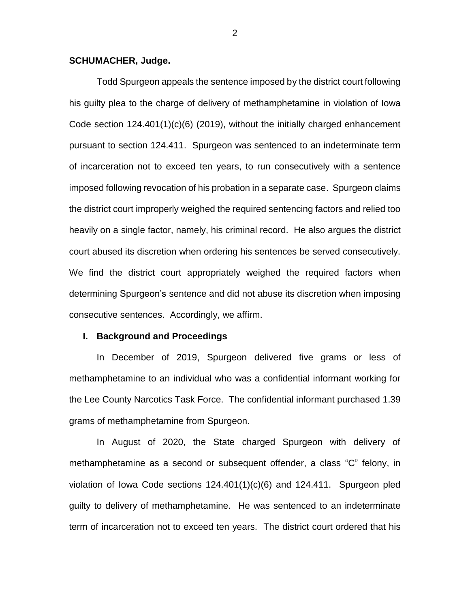#### **SCHUMACHER, Judge.**

Todd Spurgeon appeals the sentence imposed by the district court following his guilty plea to the charge of delivery of methamphetamine in violation of Iowa Code section 124.401(1)(c)(6) (2019), without the initially charged enhancement pursuant to section 124.411. Spurgeon was sentenced to an indeterminate term of incarceration not to exceed ten years, to run consecutively with a sentence imposed following revocation of his probation in a separate case. Spurgeon claims the district court improperly weighed the required sentencing factors and relied too heavily on a single factor, namely, his criminal record. He also argues the district court abused its discretion when ordering his sentences be served consecutively. We find the district court appropriately weighed the required factors when determining Spurgeon's sentence and did not abuse its discretion when imposing consecutive sentences. Accordingly, we affirm.

#### **I. Background and Proceedings**

In December of 2019, Spurgeon delivered five grams or less of methamphetamine to an individual who was a confidential informant working for the Lee County Narcotics Task Force. The confidential informant purchased 1.39 grams of methamphetamine from Spurgeon.

In August of 2020, the State charged Spurgeon with delivery of methamphetamine as a second or subsequent offender, a class "C" felony, in violation of Iowa Code sections 124.401(1)(c)(6) and 124.411. Spurgeon pled guilty to delivery of methamphetamine. He was sentenced to an indeterminate term of incarceration not to exceed ten years. The district court ordered that his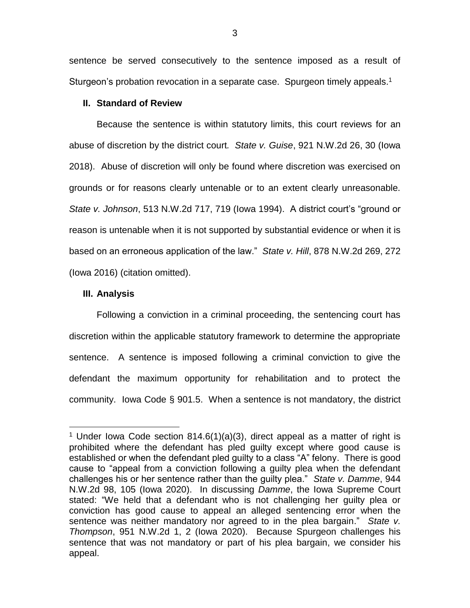sentence be served consecutively to the sentence imposed as a result of Sturgeon's probation revocation in a separate case. Spurgeon timely appeals.<sup>1</sup>

### **II. Standard of Review**

Because the sentence is within statutory limits, this court reviews for an abuse of discretion by the district court*. State v. Guise*, 921 N.W.2d 26, 30 (Iowa 2018). Abuse of discretion will only be found where discretion was exercised on grounds or for reasons clearly untenable or to an extent clearly unreasonable. *State v. Johnson*, 513 N.W.2d 717, 719 (Iowa 1994). A district court's "ground or reason is untenable when it is not supported by substantial evidence or when it is based on an erroneous application of the law." *State v. Hill*, 878 N.W.2d 269, 272 (Iowa 2016) (citation omitted).

#### **III. Analysis**

 $\overline{a}$ 

Following a conviction in a criminal proceeding, the sentencing court has discretion within the applicable statutory framework to determine the appropriate sentence. A sentence is imposed following a criminal conviction to give the defendant the maximum opportunity for rehabilitation and to protect the community. Iowa Code § 901.5. When a sentence is not mandatory, the district

<sup>&</sup>lt;sup>1</sup> Under lowa Code section 814.6(1)(a)(3), direct appeal as a matter of right is prohibited where the defendant has pled guilty except where good cause is established or when the defendant pled guilty to a class "A" felony. There is good cause to "appeal from a conviction following a guilty plea when the defendant challenges his or her sentence rather than the guilty plea." *State v. Damme*, 944 N.W.2d 98, 105 (Iowa 2020). In discussing *Damme*, the Iowa Supreme Court stated: "We held that a defendant who is not challenging her guilty plea or conviction has good cause to appeal an alleged sentencing error when the sentence was neither mandatory nor agreed to in the plea bargain." *State v. Thompson*, 951 N.W.2d 1, 2 (Iowa 2020). Because Spurgeon challenges his sentence that was not mandatory or part of his plea bargain, we consider his appeal.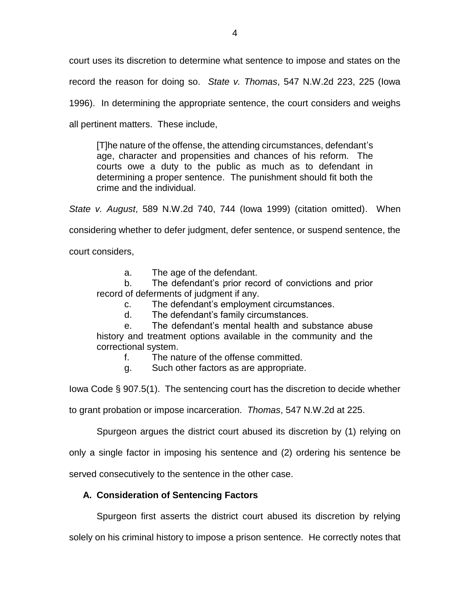court uses its discretion to determine what sentence to impose and states on the record the reason for doing so. *State v. Thomas*, 547 N.W.2d 223, 225 (Iowa 1996). In determining the appropriate sentence, the court considers and weighs all pertinent matters. These include,

[T]he nature of the offense, the attending circumstances, defendant's age, character and propensities and chances of his reform. The courts owe a duty to the public as much as to defendant in determining a proper sentence. The punishment should fit both the crime and the individual.

*State v. August*, 589 N.W.2d 740, 744 (Iowa 1999) (citation omitted). When considering whether to defer judgment, defer sentence, or suspend sentence, the court considers,

a. The age of the defendant.

b. The defendant's prior record of convictions and prior record of deferments of judgment if any.

c. The defendant's employment circumstances.

d. The defendant's family circumstances.

e. The defendant's mental health and substance abuse history and treatment options available in the community and the correctional system.

f. The nature of the offense committed.

g. Such other factors as are appropriate.

Iowa Code § 907.5(1). The sentencing court has the discretion to decide whether

to grant probation or impose incarceration. *Thomas*, 547 N.W.2d at 225.

Spurgeon argues the district court abused its discretion by (1) relying on

only a single factor in imposing his sentence and (2) ordering his sentence be

served consecutively to the sentence in the other case.

## **A. Consideration of Sentencing Factors**

Spurgeon first asserts the district court abused its discretion by relying

solely on his criminal history to impose a prison sentence. He correctly notes that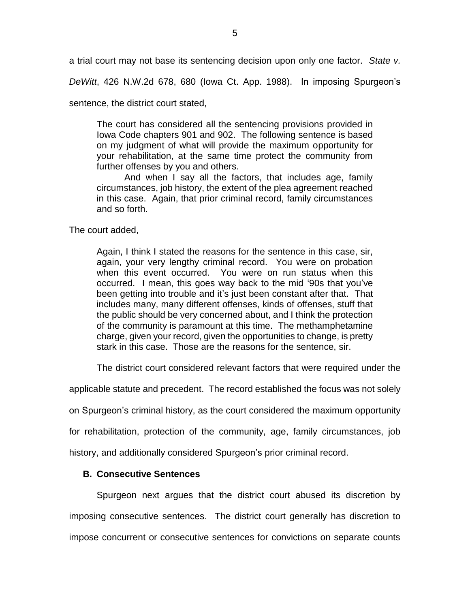a trial court may not base its sentencing decision upon only one factor. *State v.* 

*DeWitt*, 426 N.W.2d 678, 680 (Iowa Ct. App. 1988). In imposing Spurgeon's

sentence, the district court stated,

The court has considered all the sentencing provisions provided in Iowa Code chapters 901 and 902. The following sentence is based on my judgment of what will provide the maximum opportunity for your rehabilitation, at the same time protect the community from further offenses by you and others.

And when I say all the factors, that includes age, family circumstances, job history, the extent of the plea agreement reached in this case. Again, that prior criminal record, family circumstances and so forth.

The court added,

Again, I think I stated the reasons for the sentence in this case, sir, again, your very lengthy criminal record. You were on probation when this event occurred. You were on run status when this occurred. I mean, this goes way back to the mid '90s that you've been getting into trouble and it's just been constant after that. That includes many, many different offenses, kinds of offenses, stuff that the public should be very concerned about, and I think the protection of the community is paramount at this time. The methamphetamine charge, given your record, given the opportunities to change, is pretty stark in this case. Those are the reasons for the sentence, sir.

The district court considered relevant factors that were required under the

applicable statute and precedent. The record established the focus was not solely

on Spurgeon's criminal history, as the court considered the maximum opportunity

for rehabilitation, protection of the community, age, family circumstances, job

history, and additionally considered Spurgeon's prior criminal record.

## **B. Consecutive Sentences**

Spurgeon next argues that the district court abused its discretion by imposing consecutive sentences. The district court generally has discretion to impose concurrent or consecutive sentences for convictions on separate counts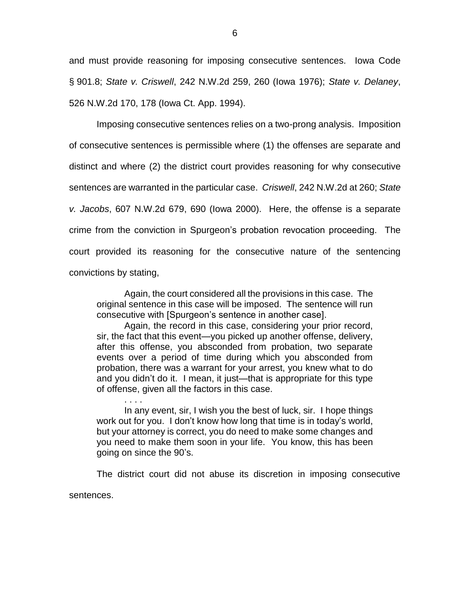and must provide reasoning for imposing consecutive sentences. Iowa Code § 901.8; *State v. Criswell*, 242 N.W.2d 259, 260 (Iowa 1976); *State v. Delaney*, 526 N.W.2d 170, 178 (Iowa Ct. App. 1994).

Imposing consecutive sentences relies on a two-prong analysis. Imposition of consecutive sentences is permissible where (1) the offenses are separate and distinct and where (2) the district court provides reasoning for why consecutive sentences are warranted in the particular case. *Criswell*, 242 N.W.2d at 260; *State v. Jacobs*, 607 N.W.2d 679, 690 (Iowa 2000). Here, the offense is a separate crime from the conviction in Spurgeon's probation revocation proceeding. The court provided its reasoning for the consecutive nature of the sentencing convictions by stating,

Again, the court considered all the provisions in this case. The original sentence in this case will be imposed. The sentence will run consecutive with [Spurgeon's sentence in another case].

Again, the record in this case, considering your prior record, sir, the fact that this event—you picked up another offense, delivery, after this offense, you absconded from probation, two separate events over a period of time during which you absconded from probation, there was a warrant for your arrest, you knew what to do and you didn't do it. I mean, it just—that is appropriate for this type of offense, given all the factors in this case.

In any event, sir, I wish you the best of luck, sir. I hope things work out for you. I don't know how long that time is in today's world, but your attorney is correct, you do need to make some changes and you need to make them soon in your life. You know, this has been going on since the 90's.

. . . .

The district court did not abuse its discretion in imposing consecutive sentences.